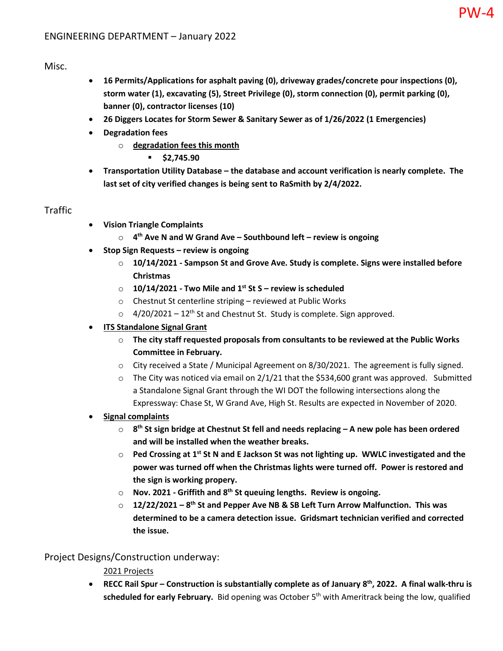## Misc.

• **16 Permits/Applications for asphalt paving (0), driveway grades/concrete pour inspections (0), storm water (1), excavating (5), Street Privilege (0), storm connection (0), permit parking (0), banner (0), contractor licenses (10)**

PW-4

- **26 Diggers Locates for Storm Sewer & Sanitary Sewer as of 1/26/2022 (1 Emergencies)**
- **Degradation fees**
	- o **degradation fees this month**
		- **\$2,745.90**
- **Transportation Utility Database the database and account verification is nearly complete. The last set of city verified changes is being sent to RaSmith by 2/4/2022.**

## Traffic

- **Vision Triangle Complaints**
	- o **4th Ave N and W Grand Ave Southbound left review is ongoing**
- **Stop Sign Requests review is ongoing**
	- o **10/14/2021 Sampson St and Grove Ave. Study is complete. Signs were installed before Christmas**
	- o **10/14/2021 Two Mile and 1st St S review is scheduled**
	- o Chestnut St centerline striping reviewed at Public Works
	- $\circ$  4/20/2021 12<sup>th</sup> St and Chestnut St. Study is complete. Sign approved.
- **ITS Standalone Signal Grant**
	- o **The city staff requested proposals from consultants to be reviewed at the Public Works Committee in February.**
	- $\circ$  City received a State / Municipal Agreement on 8/30/2021. The agreement is fully signed.
	- o The City was noticed via email on 2/1/21 that the \$534,600 grant was approved.Submitted a Standalone Signal Grant through the WI DOT the following intersections along the Expressway: Chase St, W Grand Ave, High St. Results are expected in November of 2020.

#### • **Signal complaints**

- o **8th St sign bridge at Chestnut St fell and needs replacing A new pole has been ordered and will be installed when the weather breaks.**
- o **Ped Crossing at 1st St N and E Jackson St was not lighting up. WWLC investigated and the power was turned off when the Christmas lights were turned off. Power is restored and the sign is working propery.**
- o **Nov. 2021 Griffith and 8th St queuing lengths. Review is ongoing.**
- o **12/22/2021 8th St and Pepper Ave NB & SB Left Turn Arrow Malfunction. This was determined to be a camera detection issue. Gridsmart technician verified and corrected the issue.**

## Project Designs/Construction underway:

#### 2021 Projects

• **RECC Rail Spur – Construction is substantially complete as of January 8th, 2022. A final walk-thru is** scheduled for early February. Bid opening was October 5<sup>th</sup> with Ameritrack being the low, qualified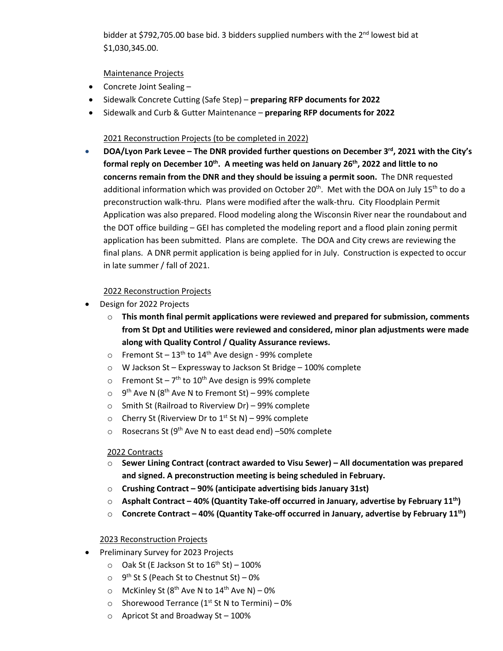bidder at \$792,705.00 base bid. 3 bidders supplied numbers with the  $2<sup>nd</sup>$  lowest bid at \$1,030,345.00.

Maintenance Projects

- Concrete Joint Sealing –
- Sidewalk Concrete Cutting (Safe Step) **preparing RFP documents for 2022**
- Sidewalk and Curb & Gutter Maintenance **preparing RFP documents for 2022**

#### 2021 Reconstruction Projects (to be completed in 2022)

• **DOA/Lyon Park Levee – The DNR provided further questions on December 3<sup>rd</sup>, 2021 with the City's** formal reply on December 10<sup>th</sup>. A meeting was held on January 26<sup>th</sup>, 2022 and little to no **concerns remain from the DNR and they should be issuing a permit soon.** The DNR requested additional information which was provided on October 20<sup>th</sup>. Met with the DOA on July 15<sup>th</sup> to do a preconstruction walk-thru. Plans were modified after the walk-thru. City Floodplain Permit Application was also prepared. Flood modeling along the Wisconsin River near the roundabout and the DOT office building – GEI has completed the modeling report and a flood plain zoning permit application has been submitted. Plans are complete. The DOA and City crews are reviewing the final plans. A DNR permit application is being applied for in July. Construction is expected to occur in late summer / fall of 2021.

#### 2022 Reconstruction Projects

- Design for 2022 Projects
	- o **This month final permit applications were reviewed and prepared for submission, comments from St Dpt and Utilities were reviewed and considered, minor plan adjustments were made along with Quality Control / Quality Assurance reviews.**
	- o Fremont St  $13<sup>th</sup>$  to  $14<sup>th</sup>$  Ave design 99% complete
	- o W Jackson St Expressway to Jackson St Bridge 100% complete
	- o Fremont St  $7<sup>th</sup>$  to 10<sup>th</sup> Ave design is 99% complete
	- $\circ$  9<sup>th</sup> Ave N (8<sup>th</sup> Ave N to Fremont St) 99% complete
	- o Smith St (Railroad to Riverview Dr) 99% complete
	- o Cherry St (Riverview Dr to  $1<sup>st</sup>$  St N) 99% complete
	- $\circ$  Rosecrans St (9<sup>th</sup> Ave N to east dead end) –50% complete

#### 2022 Contracts

- o **Sewer Lining Contract (contract awarded to Visu Sewer) – All documentation was prepared and signed. A preconstruction meeting is being scheduled in February.**
- o **Crushing Contract – 90% (anticipate advertising bids January 31st)**
- o **Asphalt Contract – 40% (Quantity Take-off occurred in January, advertise by February 11th)**
- o **Concrete Contract – 40% (Quantity Take-off occurred in January, advertise by February 11th)**

#### 2023 Reconstruction Projects

- Preliminary Survey for 2023 Projects
	- $\circ$  Oak St (E Jackson St to  $16^{th}$  St) 100%
	- $\circ$  9<sup>th</sup> St S (Peach St to Chestnut St) 0%
	- $\circ$  McKinley St (8<sup>th</sup> Ave N to 14<sup>th</sup> Ave N) 0%
	- $\circ$  Shorewood Terrance (1<sup>st</sup> St N to Termini) 0%
	- $\circ$  Apricot St and Broadway St 100%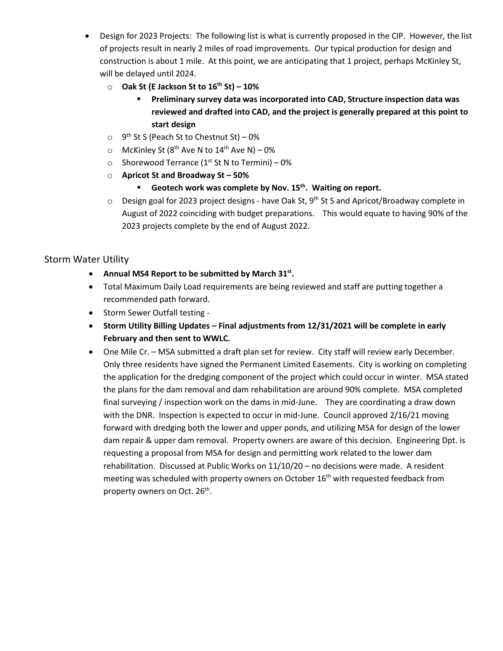- Design for 2023 Projects: The following list is what is currently proposed in the CIP. However, the list of projects result in nearly 2 miles of road improvements. Our typical production for design and construction is about 1 mile. At this point, we are anticipating that 1 project, perhaps McKinley St, will be delayed until 2024.
	- o **Oak St (E Jackson St to 16th St) – 10%**
		- **Preliminary survey data was incorporated into CAD, Structure inspection data was reviewed and drafted into CAD, and the project is generally prepared at this point to start design**
	- $\circ$  9<sup>th</sup> St S (Peach St to Chestnut St) 0%
	- $\circ$  McKinley St (8<sup>th</sup> Ave N to 14<sup>th</sup> Ave N) 0%
	- $\circ$  Shorewood Terrance (1<sup>st</sup> St N to Termini) 0%
	- o **Apricot St and Broadway St – 50%**
		- **Geotech work was complete by Nov. 15<sup>th</sup>. Waiting on report.**
	- $\circ$  Design goal for 2023 project designs have Oak St, 9<sup>th</sup> St S and Apricot/Broadway complete in August of 2022 coinciding with budget preparations. This would equate to having 90% of the 2023 projects complete by the end of August 2022.

## Storm Water Utility

- **Annual MS4 Report to be submitted by March 31st.**
- Total Maximum Daily Load requirements are being reviewed and staff are putting together a recommended path forward.
- Storm Sewer Outfall testing -
- **Storm Utility Billing Updates – Final adjustments from 12/31/2021 will be complete in early February and then sent to WWLC.**
- One Mile Cr. MSA submitted a draft plan set for review. City staff will review early December. Only three residents have signed the Permanent Limited Easements.City is working on completing the application for the dredging component of the project which could occur in winter. MSA stated the plans for the dam removal and dam rehabilitation are around 90% complete.MSA completed final surveying / inspection work on the dams in mid-June. They are coordinating a draw down with the DNR. Inspection is expected to occur in mid-June.Council approved 2/16/21 moving forward with dredging both the lower and upper ponds, and utilizing MSA for design of the lower dam repair & upper dam removal. Property owners are aware of this decision. Engineering Dpt. is requesting a proposal from MSA for design and permitting work related to the lower dam rehabilitation. Discussed at Public Works on 11/10/20 – no decisions were made. A resident meeting was scheduled with property owners on October 16<sup>th</sup> with requested feedback from property owners on Oct. 26<sup>th</sup>.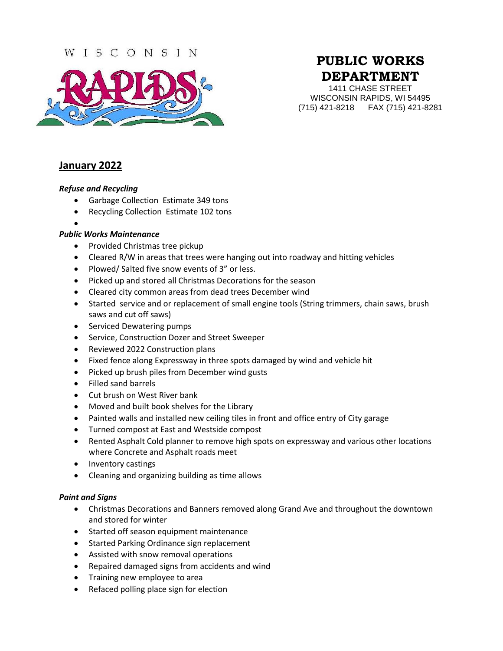## WISCONSIN



# **PUBLIC WORKS DEPARTMENT**

1411 CHASE STREET WISCONSIN RAPIDS, WI 54495 (715) 421-8218 FAX (715) 421-8281

## **January 2022**

#### *Refuse and Recycling*

- Garbage Collection Estimate 349 tons
- Recycling Collection Estimate 102 tons
- $\bullet$

#### *Public Works Maintenance*

- Provided Christmas tree pickup
- Cleared R/W in areas that trees were hanging out into roadway and hitting vehicles
- Plowed/ Salted five snow events of 3" or less.
- Picked up and stored all Christmas Decorations for the season
- Cleared city common areas from dead trees December wind
- Started service and or replacement of small engine tools (String trimmers, chain saws, brush saws and cut off saws)
- Serviced Dewatering pumps
- Service, Construction Dozer and Street Sweeper
- Reviewed 2022 Construction plans
- Fixed fence along Expressway in three spots damaged by wind and vehicle hit
- Picked up brush piles from December wind gusts
- Filled sand barrels
- Cut brush on West River bank
- Moved and built book shelves for the Library
- Painted walls and installed new ceiling tiles in front and office entry of City garage
- Turned compost at East and Westside compost
- Rented Asphalt Cold planner to remove high spots on expressway and various other locations where Concrete and Asphalt roads meet
- Inventory castings
- Cleaning and organizing building as time allows

#### *Paint and Signs*

- Christmas Decorations and Banners removed along Grand Ave and throughout the downtown and stored for winter
- Started off season equipment maintenance
- Started Parking Ordinance sign replacement
- Assisted with snow removal operations
- Repaired damaged signs from accidents and wind
- Training new employee to area
- Refaced polling place sign for election